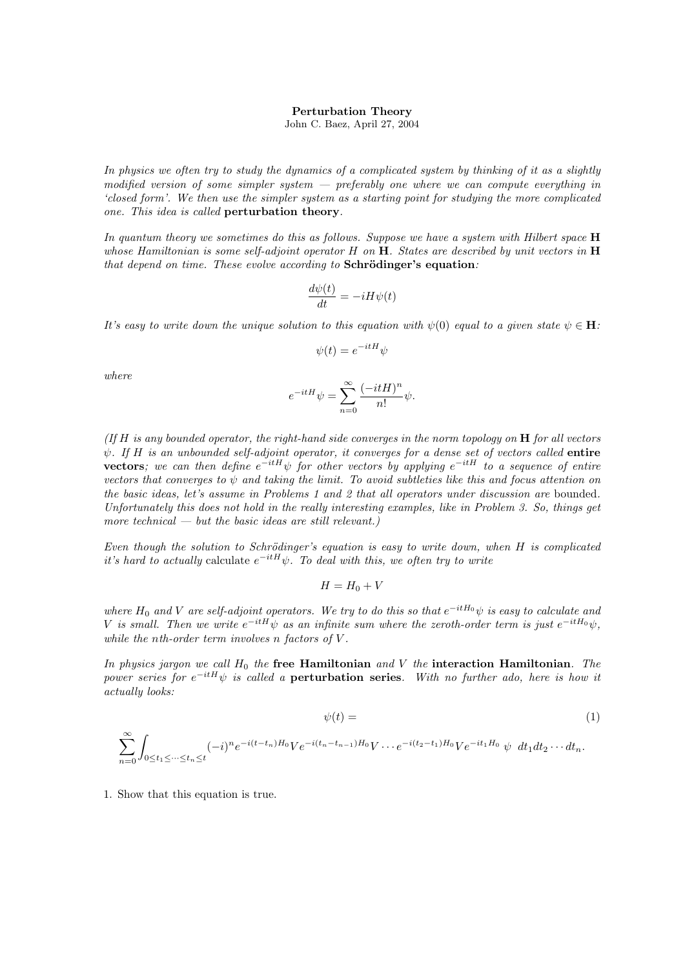## Perturbation Theory

John C. Baez, April 27, 2004

In physics we often try to study the dynamics of a complicated system by thinking of it as a slightly modified version of some simpler system  $-$  preferably one where we can compute everything in 'closed form'. We then use the simpler system as a starting point for studying the more complicated one. This idea is called perturbation theory.

In quantum theory we sometimes do this as follows. Suppose we have a system with Hilbert space  $H$ whose Hamiltonian is some self-adjoint operator  $H$  on  $H$ . States are described by unit vectors in  $H$ that depend on time. These evolve according to  $Schrödinger's equation$ :

$$
\frac{d\psi(t)}{dt} = -iH\psi(t)
$$

It's easy to write down the unique solution to this equation with  $\psi(0)$  equal to a given state  $\psi \in \mathbf{H}$ :

$$
\psi(t) = e^{-itH}\psi
$$

where

$$
e^{-itH}\psi = \sum_{n=0}^{\infty} \frac{(-itH)^n}{n!} \psi.
$$

(If  $H$  is any bounded operator, the right-hand side converges in the norm topology on  $H$  for all vectors  $\psi$ . If H is an unbounded self-adjoint operator, it converges for a dense set of vectors called **entire vectors**; we can then define  $e^{-itH}\psi$  for other vectors by applying  $e^{-itH}$  to a sequence of entire vectors that converges to  $\psi$  and taking the limit. To avoid subtleties like this and focus attention on the basic ideas, let's assume in Problems 1 and 2 that all operators under discussion are bounded. Unfortunately this does not hold in the really interesting examples, like in Problem 3. So, things get more technical  $-$  but the basic ideas are still relevant.)

Even though the solution to Schrödinger's equation is easy to write down, when  $H$  is complicated it's hard to actually calculate  $e^{-itH}\psi$ . To deal with this, we often try to write

$$
H=H_0+V
$$

where  $H_0$  and V are self-adjoint operators. We try to do this so that  $e^{-itH_0}\psi$  is easy to calculate and V is small. Then we write  $e^{-itH}\psi$  as an infinite sum where the zeroth-order term is just  $e^{-itH_0}\psi$ , while the nth-order term involves n factors of V.

In physics jargon we call  $H_0$  the free Hamiltonian and V the interaction Hamiltonian. The power series for  $e^{-itH}\psi$  is called a **perturbation series**. With no further ado, here is how it actually looks:

$$
\psi(t) = (1)
$$

$$
\sum_{n=0}^{\infty} \int_{0 \le t_1 \le \cdots \le t_n \le t} (-i)^n e^{-i(t-t_n)H_0} V e^{-i(t_n-t_{n-1})H_0} V \cdots e^{-i(t_2-t_1)H_0} V e^{-it_1H_0} \psi \ dt_1 dt_2 \cdots dt_n.
$$

1. Show that this equation is true.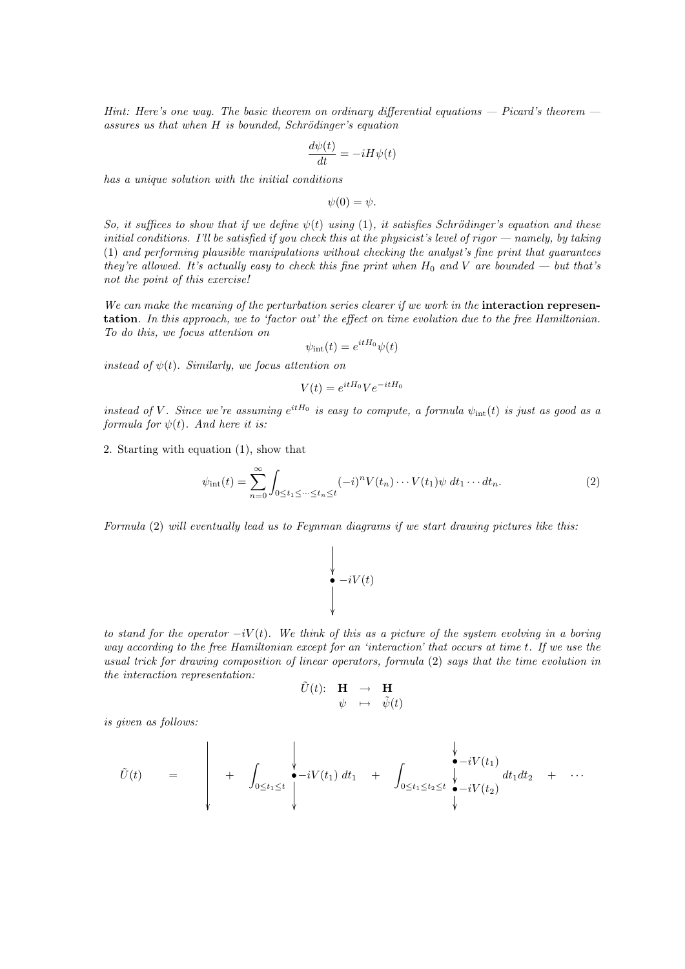Hint: Here's one way. The basic theorem on ordinary differential equations  $-$  Picard's theorem  $$ assures us that when  $H$  is bounded, Schrödinger's equation

$$
\frac{d\psi(t)}{dt} = -iH\psi(t)
$$

has a unique solution with the initial conditions

 $\psi(0) = \psi.$ 

So, it suffices to show that if we define  $\psi(t)$  using (1), it satisfies Schrödinger's equation and these initial conditions. I'll be satisfied if you check this at the physicist's level of rigor  $-$  namely, by taking (1) and performing plausible manipulations without checking the analyst's fine print that guarantees they're allowed. It's actually easy to check this fine print when  $H_0$  and V are bounded — but that's not the point of this exercise!

We can make the meaning of the perturbation series clearer if we work in the **interaction represen**tation. In this approach, we to 'factor out' the effect on time evolution due to the free Hamiltonian. To do this, we focus attention on

$$
\psi_{\rm int}(t) = e^{itH_0}\psi(t)
$$

instead of  $\psi(t)$ . Similarly, we focus attention on

 $V(t) = e^{itH_0}Ve^{-itH_0}$ 

instead of V. Since we're assuming  $e^{itH_0}$  is easy to compute, a formula  $\psi_{int}(t)$  is just as good as a formula for  $\psi(t)$ . And here it is:

2. Starting with equation (1), show that

$$
\psi_{\rm int}(t) = \sum_{n=0}^{\infty} \int_{0 \le t_1 \le \dots \le t_n \le t} (-i)^n V(t_n) \dots V(t_1) \psi \, dt_1 \dots dt_n.
$$
\n(2)

Formula (2) will eventually lead us to Feynman diagrams if we start drawing pictures like this:

ľ

$$
\begin{array}{c}\n\bigvee \\
\bullet \\
\bullet \\
\downarrow\n\end{array} - iV(t)
$$

to stand for the operator  $-iV(t)$ . We think of this as a picture of the system evolving in a boring way according to the free Hamiltonian except for an 'interaction' that occurs at time t. If we use the usual trick for drawing composition of linear operators, formula (2) says that the time evolution in the interaction representation:

$$
\begin{array}{ccc}\tilde{U}(t)&\mathbf{H}&\to&\mathbf{H}\\ \psi&\mapsto&\tilde{\psi}(t)\end{array}
$$

is given as follows:

U˜(t) = + Z 0≤t1≤t •−iV (t1) dt<sup>1</sup> + 0≤t1≤t2≤t •−iV (t1) •−iV (t2) dt1dt<sup>2</sup> + · · ·